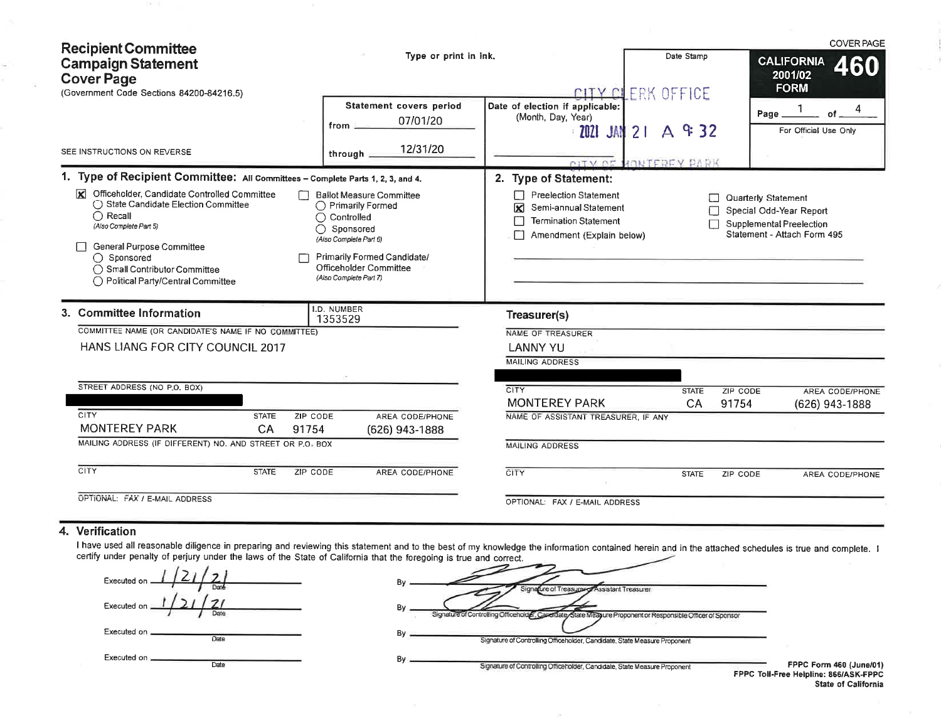| <b>Recipient Committee</b>                                                                                                                                                                                                                                        |                                                                                                                                                                                               |                                                                                                                                   |                       | <b>COVER PAGE</b>                                                                                         |
|-------------------------------------------------------------------------------------------------------------------------------------------------------------------------------------------------------------------------------------------------------------------|-----------------------------------------------------------------------------------------------------------------------------------------------------------------------------------------------|-----------------------------------------------------------------------------------------------------------------------------------|-----------------------|-----------------------------------------------------------------------------------------------------------|
| <b>Campaign Statement</b><br><b>Cover Page</b>                                                                                                                                                                                                                    | Type or print in ink.                                                                                                                                                                         |                                                                                                                                   | Date Stamp            | <b>CALIFORNIA</b><br>460<br>2001/02                                                                       |
| (Government Code Sections 84200-84216.5)                                                                                                                                                                                                                          |                                                                                                                                                                                               |                                                                                                                                   | CITY CLERK OFFICE     | <b>FORM</b>                                                                                               |
|                                                                                                                                                                                                                                                                   | Statement covers period<br>07/01/20<br>from _                                                                                                                                                 | Date of election if applicable:<br>(Month, Day, Year)<br><b>2021 JAN 21</b>                                                       | A & 32                | Page _<br>of<br>For Official Use Only                                                                     |
| SEE INSTRUCTIONS ON REVERSE                                                                                                                                                                                                                                       | 12/31/20<br>through __                                                                                                                                                                        |                                                                                                                                   | CITY OF MONTFREY PARK |                                                                                                           |
| 1. Type of Recipient Committee: All Committees - Complete Parts 1, 2, 3, and 4.                                                                                                                                                                                   |                                                                                                                                                                                               | 2. Type of Statement:                                                                                                             |                       |                                                                                                           |
| Officeholder, Candidate Controlled Committee<br>×<br>◯ State Candidate Election Committee<br>$\bigcirc$ Recall<br>Ο<br>(Also Complete Part 5)<br>General Purpose Committee<br>◯ Sponsored<br>◯ Small Contributor Committee<br>◯ Political Party/Central Committee | <b>Ballot Measure Committee</b><br>◯ Primarily Formed<br>Controlled<br>Sponsored<br>(Also Complete Part 6)<br>Primarily Formed Candidate/<br>Officeholder Committee<br>(Also Complete Part 7) | <b>Preelection Statement</b><br>$\Box$<br>Semi-annual Statement<br>⊠<br><b>Termination Statement</b><br>Amendment (Explain below) |                       | Quarterly Statement<br>Special Odd-Year Report<br>Supplemental Preelection<br>Statement - Attach Form 495 |
| 3. Committee Information                                                                                                                                                                                                                                          | I.D. NUMBER<br>1353529                                                                                                                                                                        | Treasurer(s)                                                                                                                      |                       |                                                                                                           |
| COMMITTEE NAME (OR CANDIDATE'S NAME IF NO COMMITTEE)                                                                                                                                                                                                              |                                                                                                                                                                                               | NAME OF TREASURER                                                                                                                 |                       |                                                                                                           |
| HANS LIANG FOR CITY COUNCIL 2017                                                                                                                                                                                                                                  |                                                                                                                                                                                               | <b>LANNY YU</b>                                                                                                                   |                       |                                                                                                           |
|                                                                                                                                                                                                                                                                   |                                                                                                                                                                                               | <b>MAILING ADDRESS</b>                                                                                                            |                       |                                                                                                           |
| STREET ADDRESS (NO P.O. BOX)                                                                                                                                                                                                                                      |                                                                                                                                                                                               | CITY                                                                                                                              | <b>STATE</b>          | <b>ZIP CODE</b><br>AREA CODE/PHONE                                                                        |
|                                                                                                                                                                                                                                                                   |                                                                                                                                                                                               | <b>MONTEREY PARK</b>                                                                                                              | CA                    | 91754<br>(626) 943-1888                                                                                   |
| CITY<br><b>STATE</b><br>ZIP CODE<br><b>MONTEREY PARK</b><br>CA<br>91754                                                                                                                                                                                           | AREA CODE/PHONE<br>(626) 943-1888                                                                                                                                                             | NAME OF ASSISTANT TREASURER, IF ANY                                                                                               |                       |                                                                                                           |
| MAILING ADDRESS (IF DIFFERENT) NO. AND STREET OR P.O. BOX                                                                                                                                                                                                         |                                                                                                                                                                                               | <b>MAILING ADDRESS</b>                                                                                                            |                       |                                                                                                           |
| CITY<br><b>STATE</b><br>ZIP CODE                                                                                                                                                                                                                                  | AREA CODE/PHONE                                                                                                                                                                               | <b>CITY</b>                                                                                                                       | <b>STATE</b>          | ZIP CODE<br><b>AREA CODE/PHONE</b>                                                                        |
| OPTIONAL: FAX / E-MAIL ADDRESS                                                                                                                                                                                                                                    |                                                                                                                                                                                               | OPTIONAL: FAX / E-MAIL ADDRESS                                                                                                    |                       |                                                                                                           |

## 4. Verification

 $\sim$ 

I have used all reasonable diligence in preparing and reviewing this statement and to the best of my knowledge the information contained herein and in the attached schedules is true and complete. I certify under penalty of

| Executed on               |  |
|---------------------------|--|
| Executed on               |  |
| Executed on _____<br>Date |  |
| Executed on<br>Date       |  |

| Bν | Signature of Treasurer of Assistant Treasurer                                                              |
|----|------------------------------------------------------------------------------------------------------------|
| Bγ | Signature of Controlling Officeholder, Candidate State Measure Proponent or Responsible Officer of Sponsor |
| В٧ |                                                                                                            |
| В٧ | Signature of Controlling Officeholder, Candidate, State Measure Proponent                                  |
|    | Signature of Controlling Officeholder, Candidate, State Measure Proponent                                  |

FPPC Form 460 (June/01) FPPC Toll-Free Helpline: 866/ASK-FPPC State of California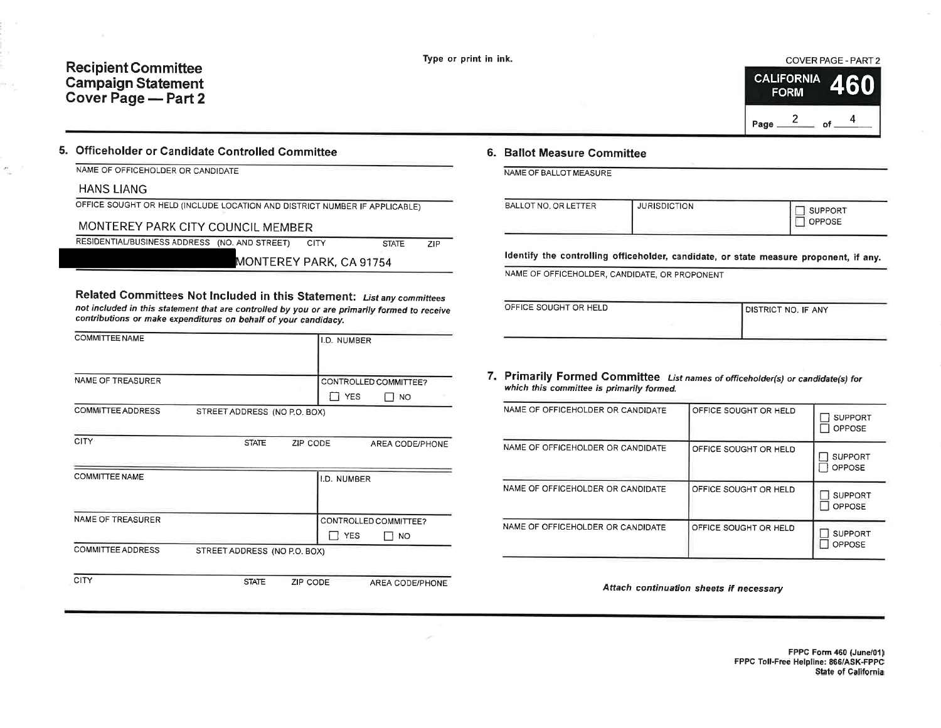# Recipient Committee Campaign Statement Cover Page - Part 2

#### COVER PAGE-PART2



### 5. Officeholder or Gandidate Controlled Committee

NAME OF OFFICEHOLDER OR CANDIDATE

HANS LIANG

OFFICE SOUGHT OR HELD (INCLUDE LOCATION AND DISTRICT NUMBER IF APPLICABLE)

## MONTEREY PARK CITY COUNCIL MEMBER

RESIDENTIAL/BUSINESS ADDRESS (NO. AND STREET) CITY STATE ZIP

MONTEREY PARK, CA 91754

Related Committees Not Included in this Statement: List any committees not included in this statement that are controlled by you or are primarily formed to receive contributions or make expenditures on behalf of your candidacy.

| <b>COMMITTEE NAME</b>    |                              |          | I.D. NUMBER |                        |
|--------------------------|------------------------------|----------|-------------|------------------------|
|                          |                              |          |             |                        |
| NAME OF TREASURER        |                              |          |             | CONTROLLED COMMITTEE?  |
|                          |                              |          | <b>YES</b>  | <b>NO</b>              |
| <b>COMMITTEE ADDRESS</b> | STREET ADDRESS (NO P.O. BOX) |          |             |                        |
|                          |                              |          |             |                        |
| <b>CITY</b>              | <b>STATE</b>                 | ZIP CODE |             | AREA CODE/PHONE        |
|                          |                              |          |             |                        |
| <b>COMMITTEE NAME</b>    |                              |          | I.D. NUMBER |                        |
|                          |                              |          |             |                        |
| <b>NAME OF TREASURER</b> |                              |          |             | CONTROLLED COMMITTEE?  |
|                          |                              |          |             |                        |
|                          |                              |          | <b>YES</b>  | NO.                    |
| COMMITTEE ADDRESS        | STREET ADDRESS (NO P.O. BOX) |          |             |                        |
|                          |                              |          |             |                        |
| CITY                     | <b>STATE</b>                 | ZIP CODE |             | <b>AREA CODE/PHONE</b> |

## 6. Ballot Measure Committee

NAME OF BALLOT MEASURE

| BALLOT NO, OR LETTER | <b>JURISDICTION</b> | SUPPORT<br>OPPOSE |
|----------------------|---------------------|-------------------|
|                      |                     |                   |

ldentify the controlling officeholder, candidate, or state measure proponent, if any.

NAME OF OFFICEHOLDER, CANDIDATE, OR PROPONENT

| OFFICE SOUGHT OR HELD | DISTRICT NO. IF ANY |
|-----------------------|---------------------|
|                       |                     |

7. Primarily Formed Committee List names of officeholder(s) or candidate(s) for which this committee is primarily formed.

| NAME OF OFFICEHOLDER OR CANDIDATE | OFFICE SOUGHT OR HELD | <b>SUPPORT</b><br><b>OPPOSE</b> |
|-----------------------------------|-----------------------|---------------------------------|
| NAME OF OFFICEHOLDER OR CANDIDATE | OFFICE SOUGHT OR HELD | <b>SUPPORT</b><br><b>OPPOSE</b> |
| NAME OF OFFICEHOLDER OR CANDIDATE | OFFICE SOUGHT OR HELD | <b>SUPPORT</b><br><b>OPPOSE</b> |
| NAME OF OFFICEHOLDER OR CANDIDATE | OFFICE SOUGHT OR HELD | <b>SUPPORT</b><br>OPPOSE        |

Attach continuation sheets if necessary

FPPC Form 460 (June/01) FPPC TolhFree Helpline: 866/A5K-FPPC State of California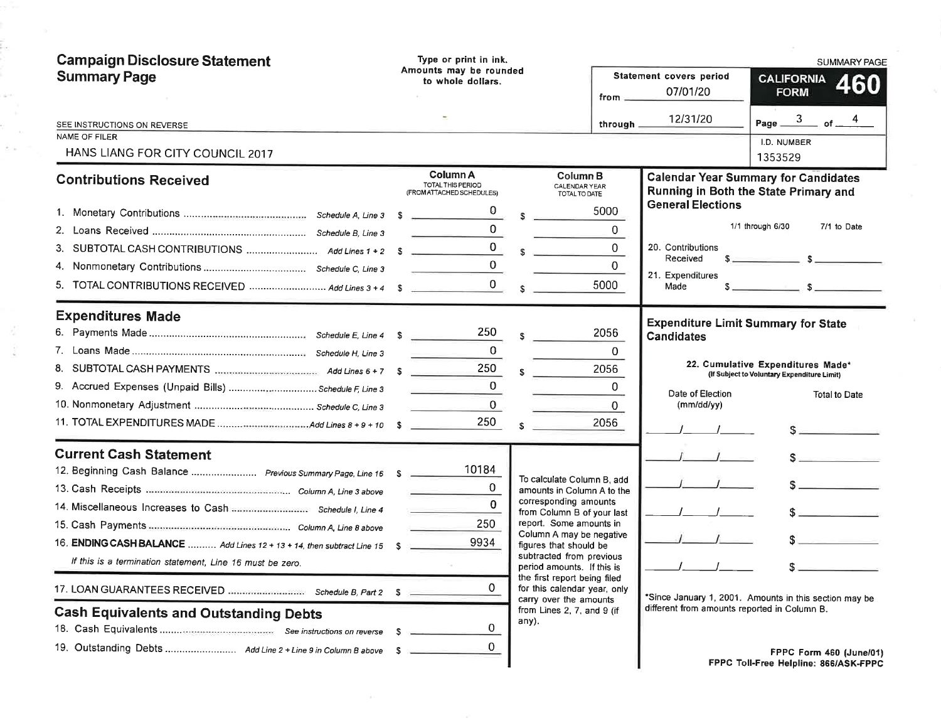| <b>Campaign Disclosure Statement</b><br><b>Summary Page</b>                                                                                                                                                                                                                                      | Type or print in ink.<br>Amounts may be rounded<br>to whole dollars. | from $-$                                                                                                                                                                                                                                                                                   | Statement covers period<br>07/01/20<br>12/31/20                                                                                                | <b>SUMMARY PAGE</b><br><b>CALIFORNIA</b><br>460<br><b>FORM</b><br>Page $\frac{3}{\text{of}}$ of $\frac{4}{\text{of}}$      |
|--------------------------------------------------------------------------------------------------------------------------------------------------------------------------------------------------------------------------------------------------------------------------------------------------|----------------------------------------------------------------------|--------------------------------------------------------------------------------------------------------------------------------------------------------------------------------------------------------------------------------------------------------------------------------------------|------------------------------------------------------------------------------------------------------------------------------------------------|----------------------------------------------------------------------------------------------------------------------------|
| SEE INSTRUCTIONS ON REVERSE<br><b>NAME OF FILER</b><br>HANS LIANG FOR CITY COUNCIL 2017                                                                                                                                                                                                          |                                                                      |                                                                                                                                                                                                                                                                                            | through .                                                                                                                                      | I.D. NUMBER<br>1353529                                                                                                     |
| <b>Contributions Received</b>                                                                                                                                                                                                                                                                    | Column A<br><b>TOTAL THIS PERIOD</b><br>(FROM ATTACHED SCHEDULES)    | Column B<br>CALENDAR YEAR<br>TOTAL TO DATE                                                                                                                                                                                                                                                 |                                                                                                                                                | <b>Calendar Year Summary for Candidates</b><br>Running in Both the State Primary and                                       |
|                                                                                                                                                                                                                                                                                                  |                                                                      | 5000<br>$\sim$                                                                                                                                                                                                                                                                             | <b>General Elections</b><br>0                                                                                                                  | 1/1 through 6/30<br>7/1 to Date                                                                                            |
| 5. TOTAL CONTRIBUTIONS RECEIVED  Add Lines 3 + 4 \$                                                                                                                                                                                                                                              | $\mathbf{0}_{\perp}$<br>$0$ s                                        | $\sim$<br>5000                                                                                                                                                                                                                                                                             | $\mathbf 0$<br>20. Contributions<br>Received<br>$\Omega$<br>21. Expenditures<br>Made                                                           | $s$ $s$<br>$s$ $s$                                                                                                         |
| <b>Expenditures Made</b><br>9. Accrued Expenses (Unpaid Bills) Schedule F, Line 3                                                                                                                                                                                                                | 250<br>0<br>250<br>$\Omega$<br>$\mathbf{0}$<br>250                   | 2056<br>s.<br>2056<br>$\mathbf{s}$<br>2056<br>s.                                                                                                                                                                                                                                           | <b>Expenditure Limit Summary for State</b><br><b>Candidates</b><br>$\mathbf{0}$<br>0<br>Date of Election<br>$\mathbf{0}$<br>$(mm/dd/\gamma y)$ | 22. Cumulative Expenditures Made*<br>(If Subject to Voluntary Expenditure Limit)<br><b>Total to Date</b>                   |
| <b>Current Cash Statement</b><br>12. Beginning Cash Balance  Previous Summary Page, Line 16 \$<br>14. Miscellaneous Increases to Cash  Schedule I, Line 4<br>16. ENDING CASH BALANCE  Add Lines 12 + 13 + 14, then subtract Line 15<br>If this is a termination statement, Line 16 must be zero. | 10184<br>$\mathbf 0$<br>$\Omega$<br>250<br>9934                      | To calculate Column B, add<br>amounts in Column A to the<br>corresponding amounts<br>from Column B of your last<br>report. Some amounts in<br>Column A may be negative<br>figures that should be<br>subtracted from previous<br>period amounts. If this is<br>the first report being filed |                                                                                                                                                | $\sim$<br>$S =$<br>$s$ and the set of $s$                                                                                  |
| <b>Cash Equivalents and Outstanding Debts</b><br>19. Outstanding Debts  Add Line 2 + Line 9 in Column B above \$                                                                                                                                                                                 | 0<br>0<br>-S<br>0.                                                   | for this calendar year, only<br>carry over the amounts<br>from Lines 2, 7, and 9 (if<br>any).                                                                                                                                                                                              | different from amounts reported in Column B.                                                                                                   | *Since January 1, 2001. Amounts in this section may be<br>FPPC Form 460 (June/01)<br>FPPC Toll-Free Helpline: 866/ASK-FPPC |

i.

r<br>Re

 $\omega$  $\hat{\mathcal{E}}$  .

 $\downarrow$